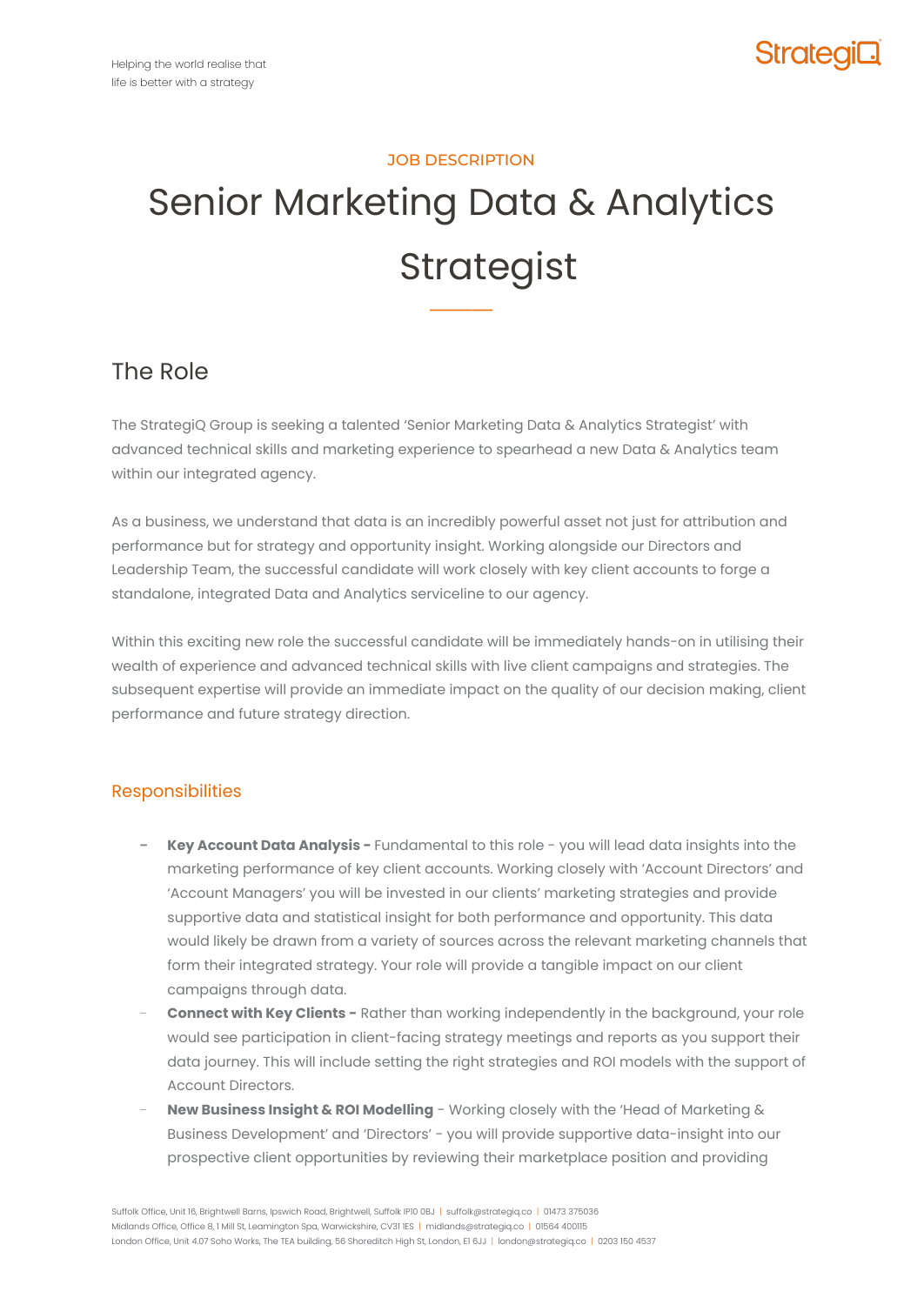### JOB DESCRIPTION

# Senior Marketing Data & Analytics Strategist

**–––––––––**

### The Role

The StrategiQ Group is seeking a talented 'Senior Marketing Data & Analytics Strategist' with advanced technical skills and marketing experience to spearhead a new Data & Analytics team within our integrated agency.

As a business, we understand that data is an incredibly powerful asset not just for attribution and performance but for strategy and opportunity insight. Working alongside our Directors and Leadership Team, the successful candidate will work closely with key client accounts to forge a standalone, integrated Data and Analytics serviceline to our agency.

Within this exciting new role the successful candidate will be immediately hands-on in utilising their wealth of experience and advanced technical skills with live client campaigns and strategies. The subsequent expertise will provide an immediate impact on the quality of our decision making, client performance and future strategy direction.

### Responsibilities

- **− Key Account Data Analysis -** Fundamental to this role you will lead data insights into the marketing performance of key client accounts. Working closely with 'Account Directors' and 'Account Managers' you will be invested in our clients' marketing strategies and provide supportive data and statistical insight for both performance and opportunity. This data would likely be drawn from a variety of sources across the relevant marketing channels that form their integrated strategy. Your role will provide a tangible impact on our client campaigns through data.
- − **Connect with Key Clients -** Rather than working independently in the background, your role would see participation in client-facing strategy meetings and reports as you support their data journey. This will include setting the right strategies and ROI models with the support of Account Directors.
- − **New Business Insight & ROI Modelling** Working closely with the 'Head of Marketing & Business Development' and 'Directors' - you will provide supportive data-insight into our prospective client opportunities by reviewing their marketplace position and providing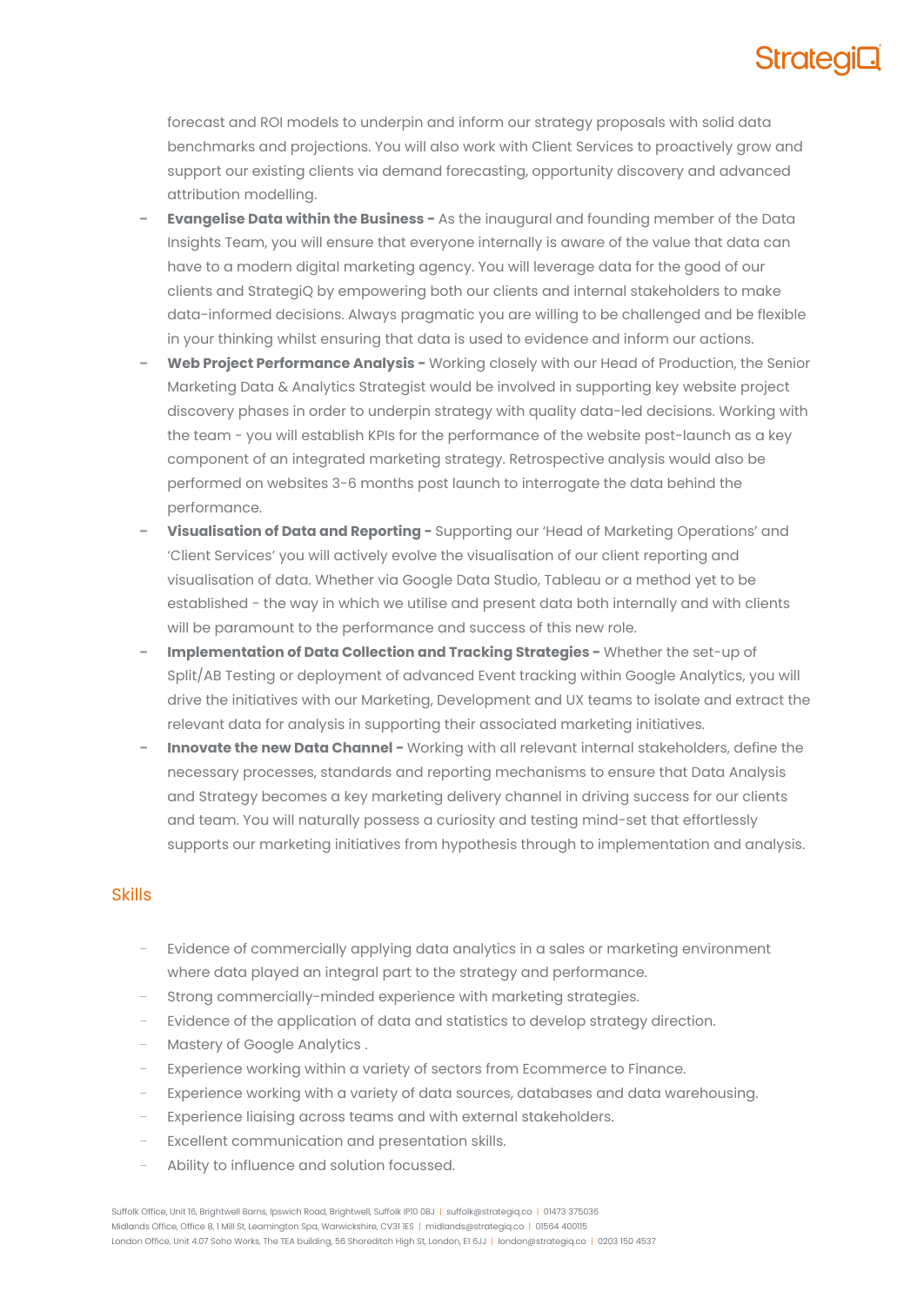## **Stratea**

forecast and ROI models to underpin and inform our strategy proposals with solid data benchmarks and projections. You will also work with Client Services to proactively grow and support our existing clients via demand forecasting, opportunity discovery and advanced attribution modelling.

- **− Evangelise Data within the Business -** As the inaugural and founding member of the Data Insights Team, you will ensure that everyone internally is aware of the value that data can have to a modern digital marketing agency. You will leverage data for the good of our clients and StrategiQ by empowering both our clients and internal stakeholders to make data-informed decisions. Always pragmatic you are willing to be challenged and be flexible in your thinking whilst ensuring that data is used to evidence and inform our actions.
- **− Web Project Performance Analysis -** Working closely with our Head of Production, the Senior Marketing Data & Analytics Strategist would be involved in supporting key website project discovery phases in order to underpin strategy with quality data-led decisions. Working with the team - you will establish KPIs for the performance of the website post-launch as a key component of an integrated marketing strategy. Retrospective analysis would also be performed on websites 3-6 months post launch to interrogate the data behind the performance.
- **− Visualisation of Data and Reporting -** Supporting our 'Head of Marketing Operations' and 'Client Services' you will actively evolve the visualisation of our client reporting and visualisation of data. Whether via Google Data Studio, Tableau or a method yet to be established - the way in which we utilise and present data both internally and with clients will be paramount to the performance and success of this new role.
- **− Implementation of Data Collection and Tracking Strategies -** Whether the set-up of Split/AB Testing or deployment of advanced Event tracking within Google Analytics, you will drive the initiatives with our Marketing, Development and UX teams to isolate and extract the relevant data for analysis in supporting their associated marketing initiatives.
- **− Innovate the new Data Channel -** Working with all relevant internal stakeholders, define the necessary processes, standards and reporting mechanisms to ensure that Data Analysis and Strategy becomes a key marketing delivery channel in driving success for our clients and team. You will naturally possess a curiosity and testing mind-set that effortlessly supports our marketing initiatives from hypothesis through to implementation and analysis.

#### Skills

- Evidence of commercially applying data analytics in a sales or marketing environment where data played an integral part to the strategy and performance.
- Strong commercially-minded experience with marketing strategies.
- Evidence of the application of data and statistics to develop strategy direction.
- − Mastery of Google Analytics .
- Experience working within a variety of sectors from Ecommerce to Finance.
- Experience working with a variety of data sources, databases and data warehousing.
- Experience liaising across teams and with external stakeholders.
- Excellent communication and presentation skills.
- − Ability to influence and solution focussed.